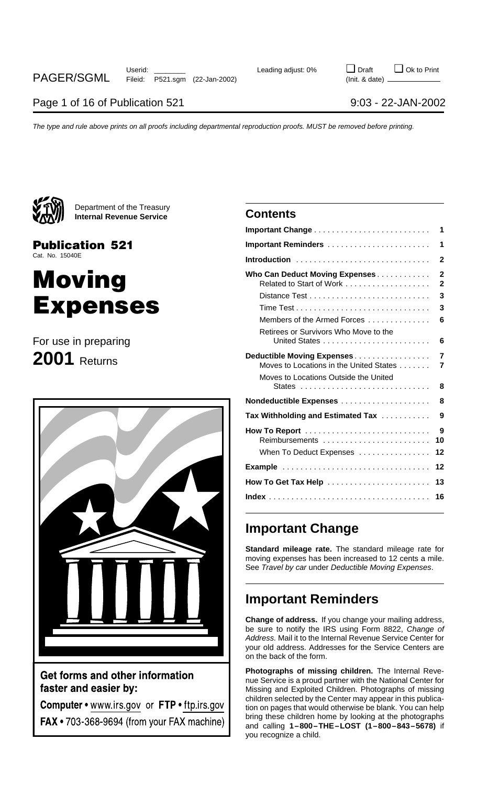

Department of the Treasury **Internal Revenue Service Contents**

# **Moving** Expenses



Get forms and other information faster and easier by:

Computer . www.irs.gov or FTP . ftp.irs.gov FAX • 703-368-9694 (from your FAX machine)

| <b>Publication 521</b> |                                                                           |  |
|------------------------|---------------------------------------------------------------------------|--|
| Cat. No. 15040E        |                                                                           |  |
| <b>Moving</b>          | Related to Start of Work 2                                                |  |
|                        |                                                                           |  |
| <b>Expenses</b>        |                                                                           |  |
|                        | Members of the Armed Forces  6                                            |  |
| For use in preparing   | Retirees or Survivors Who Move to the                                     |  |
| $2001$ Returns         | Deductible Moving Expenses 7<br>Moves to Locations in the United States 7 |  |
|                        | Moves to Locations Outside the United                                     |  |
|                        |                                                                           |  |
|                        |                                                                           |  |
|                        | Reimbursements  10<br>When To Deduct Expenses 12                          |  |
|                        | Example  12                                                               |  |
|                        |                                                                           |  |
|                        |                                                                           |  |

## **Important Change**

**Standard mileage rate.** The standard mileage rate for moving expenses has been increased to 12 cents a mile. See Travel by car under Deductible Moving Expenses.

## **Important Reminders**

**Change of address.** If you change your mailing address, be sure to notify the IRS using Form 8822, Change of Address. Mail it to the Internal Revenue Service Center for your old address. Addresses for the Service Centers are on the back of the form.

**Photographs of missing children.** The Internal Revenue Service is a proud partner with the National Center for Missing and Exploited Children. Photographs of missing children selected by the Center may appear in this publication on pages that would otherwise be blank. You can help bring these children home by looking at the photographs and calling **1–800–THE–LOST (1–800–843–5678)** if you recognize a child.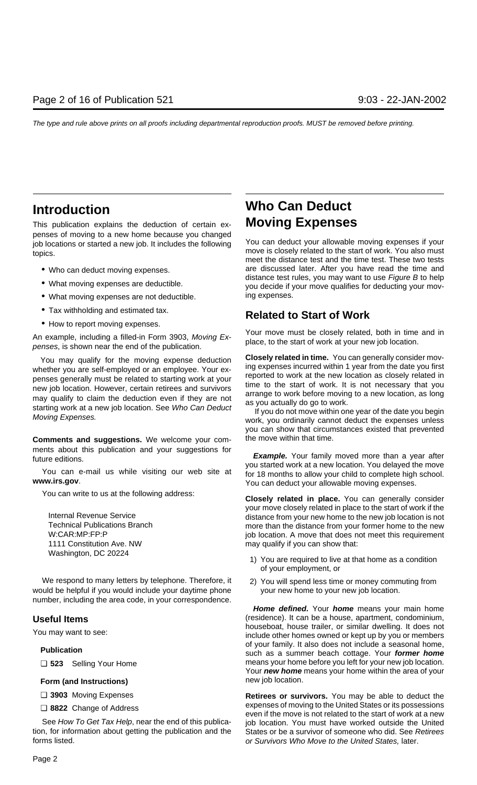This publication explains the deduction of certain ex- **Moving Expenses** penses of moving to a new home because you changed<br>job locations or started a new job. It includes the following<br>topics.<br>move is closely related to the start of work. You also must<br>meet the distance test and the time test.

- 
- 
- What moving expenses are not deductible. ing expenses.
- 
- 

An example, including a filled-in Form 3903, Moving Ex-<br>place, to the start of work at your new job location.<br>penses, is shown near the end of the publication.

whether you are self-employed or an employee. Your ex-<br>penses incurred within 1 year from the date you first<br>penses generally must be related to starting work at your<br>new job location. However, certain retirees and survivo

**Comments and suggestions.** We welcome your com- the move within that time. ments about this publication and your suggestions for<br>future editions.<br>you started work at a new location. You delayed the move

We respond to many letters by telephone. Therefore, it 2) You will spend less time or money commuting from would be helpful if you would include your daytime phone your new home to your new job location. number, including the area code, in your correspondence.

## **Form (and Instructions) new job location.**

forms listed. or Survivors Who Move to the United States, later.

# **Introduction Introduction Introduction**

• Who can deduct moving expenses. The same are discussed later. After you have read the time and • What moving expenses are deductible.  $\blacksquare$  and  $\blacksquare$  and  $\blacksquare$  what moving expenses are deductible.  $\blacksquare$  you decide if your move qualifies for deducting your mov-

## • Tax withholding and estimated tax. **Related to Start of Work** • How to report moving expenses.

You may qualify for the moving expense deduction **Closely related in time.** You can generally consider mov-<br>Nether you are self-employed or an employee Your ex- ing expenses incurred within 1 year from the date you first

you can show that circumstances existed that prevented

You can e-mail us while visiting our web site at<br>www.irs.gov.<br>You can deduct your allowable moving expenses.<br>You can deduct your allowable moving expenses.

You can write to us at the following address: **Closely related in place.** You can generally consider your move closely related in place to the start of work if the Internal Revenue Service<br>
Technical Publications Branch<br>
Technical Publications Branch<br>
Technical Publications Branch<br>
Technical Publications Branch<br>
Technical Publications Branch<br>
Technical Publications Branch<br>
Technical more than the distance from your former home to the new W:CAR:MP:FP:P interest of the state of policies in the job location. A move that does not meet this requirement 1111 Constitution Ave. NW **now that:** may qualify if you can show that:

- Washington, DC 20224 1) You are required to live at that home as a condition of your employment, or
	-

**Home defined.** Your **home** means your main home **Useful Items Useful Items** (residence). It can be a house, apartment, condominium,<br>
houseboat, house trailer, or similar dwelling. It does not house trailer, house trailer, or similar discussions, the set of the manner, or similar discussions of You may want to see: include other homes owned or kept up by you or members of your family. It also does not include a seasonal home, **Publication** such as a summer beach cottage. Your **former home** ❏ **523** Selling Your Home means your home before you left for your new job location. Your **new home** means your home within the area of your

❏ **3903** Moving Expenses **Retirees or survivors.** You may be able to deduct the expenses of moving to the United States or its possessions ❏ **<sup>8822</sup>** Change of Address even if the move is not related to the start of work at a new See How To Get Tax Help, near the end of this publica-<br>job location. You must have worked outside the United the United tion, for information about getting the publication and the States or be a survivor of someone who did. See Retirees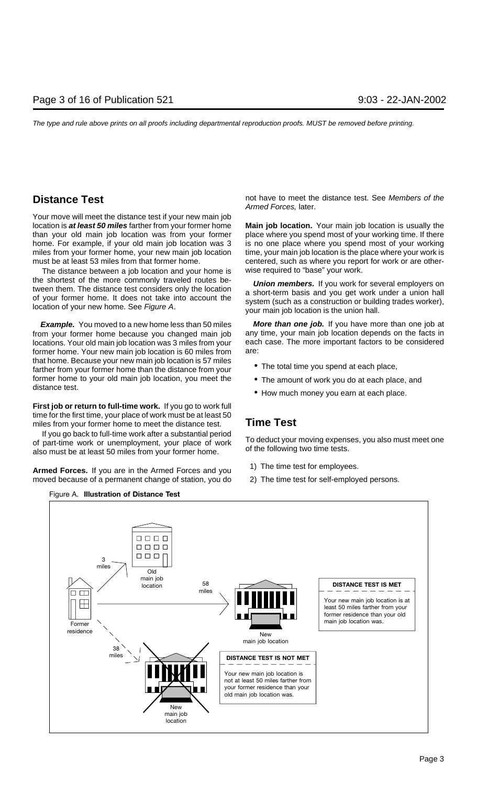Your move will meet the distance test if your new main job location is **at least 50 miles** farther from your former home **Main job location.** Your main job location is usually the than your old main job location was from your former place where you spend most of your working time. If there home. For example, if your old main job location was 3 is no one place where you spend most of your working miles from your former home, your new main job location time, your main job location is the place where your work is

The distance between a job location and your home is wise required to "base" your work.

from your former home because you changed main job any time, your main job location depends on the facts in locations. Your old main job location was 3 miles from your each case. The more important factors to be considered former home. Your new main job location is 60 miles from are: that home. Because your new main job location is 57 miles • The total time you spend at each place, farther from your former home than the distance from your former home to your old main job location, you meet the • The amount of work you do at each place, and distance test.

**First job or return to full-time work.** If you go to work full time for the first time, your place of work must be at least 50 miles from your former home to meet the distance test. **Time Test** 

If you go back to full-time work after a substantial period<br>of part-time work or unemployment, your place of work<br>also must be at least 50 miles from your former home.<br>of the following two time tests.

Armed Forces. If you are in the Armed Forces and you and the time test for employees. moved because of a permanent change of station, you do 2) The time test for self-employed persons.

**Distance Test not have to meet the distance test. See Members of the** Armed Forces, later.

must be at least 53 miles from that former home. centered, such as where you report for work or are other-

the shortest of the more commonly traveled routes be-<br>tween them. The distance test considers only the location<br>of your former home. It does not take into account the<br>location of your new home. See Figure A.<br>your main job

**Example.** You moved to a new home less than 50 miles **More than one job.** If you have more than one job at

- 
- 
- How much money you earn at each place.

- 
- 



Page 3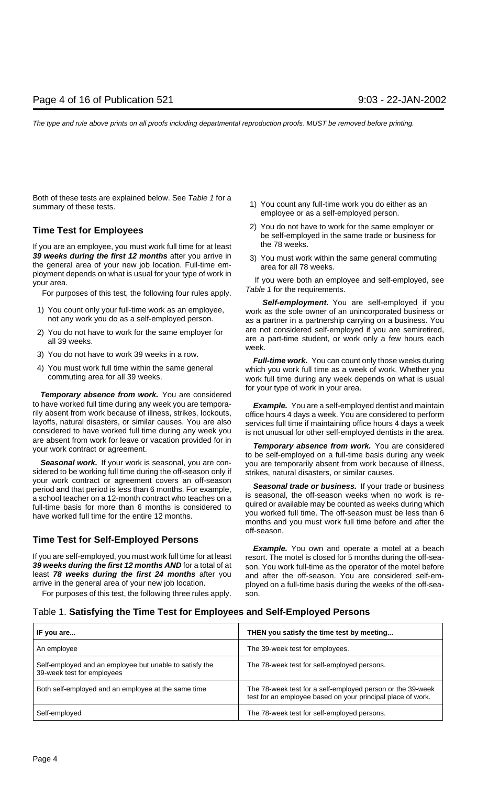Both of these tests are explained below. See Table 1 for a

If you are an employee, you must work full time for at least the 78 weeks. **39 weeks during the first 12 months** after you arrive in 3) You must work within the same general commuting the general area of your new job location. Full-time em-<br>ployment depends on what is usual for your type of work

- 
- 
- 
- 

for your type of work in your area. **Temporary absence from work.** You are considered to have worked full time during any week you are tempora- **Example.** You are a self-employed dentist and maintain rily absent from work because of illness, strikes, lockouts, office hours 4 days a week. You are considered to perform layoffs, natural disasters, or similar causes. You are also services full time if maintaining office hours 4 days a week<br>considered to have worked full time during any week you is not unusual for other self-employed dentis considered to have worked full time during any week you is not unusual for other self-employed dentists in the area.<br>are absent from work for leave or vacation provided for in

sidered to be working full time during the off-season only if strikes, natural disasters, or similar causes.<br>your work contract or agreement covers an off-season

## **Time Test for Self-Employed Persons**

If you are self-employed, you must work full time for at least resort. The motel is closed for 5 months during the off-sea-**39 weeks during the first 12 months AND** for a total of at son. You work full-time as the operator of the motel before least 78 weeks during the first 24 months after you and after the off-season. You are considered selfleast **78 weeks during the first 24 months** after you and after the off-season. You are considered self-em-<br>arrive in the general area of your new job location. ployed on a full-time basis during the weeks of the off-sea-

For purposes of this test, the following three rules apply. son.

- 1) You count any full-time work you do either as an<br>employee or as a self-employed person.
- **2)** You do not have to work for the same employer or **Time Test for Employees** be self-employed in the same trade or business for
	-

your area.<br>For purposes of this test, the following four rules apply. Table 1 for the requirements.

Self-employment. You are self-employed if you<br>I) You count only your full-time work as an employee, work as the sole owner of an unincorporated business or<br>as a partner in a partnership carrying on a business. You are not considered self-employed if you are semiretired, 2) You do not have to work for the same employer for are a part-time student, or work only a few hours each all 39 weeks. week.

3) You do not have to work 39 weeks in a row.<br>4) You must work full time within the same general<br>commuting area for all 39 weeks.<br>work full time during any week depends on what is usual<br>work full time during any week depen

your work contract or agreement.<br>your work contract or agreement.<br>Seasonal work. If your work is seasonal, you are con-<br>you are temporarily absent from work because of illness. you are temporarily absent from work because of illness,

your work contract or agreement covers an off-season<br>period and that period is less than 6 months. For example,<br>a school teacher on a 12-month contract who teaches on a<br>full-time basis for more than 6 months is considered off-season.

> **Example.** You own and operate a motel at a beach ployed on a full-time basis during the weeks of the off-sea-

## Table 1. **Satisfying the Time Test for Employees and Self-Employed Persons**

| IF you are                                                                            | THEN you satisfy the time test by meeting                                                                                 |
|---------------------------------------------------------------------------------------|---------------------------------------------------------------------------------------------------------------------------|
| An employee                                                                           | The 39-week test for employees.                                                                                           |
| Self-employed and an employee but unable to satisfy the<br>39-week test for employees | The 78-week test for self-employed persons.                                                                               |
| Both self-employed and an employee at the same time                                   | The 78-week test for a self-employed person or the 39-week<br>test for an employee based on your principal place of work. |
| Self-employed                                                                         | The 78-week test for self-employed persons.                                                                               |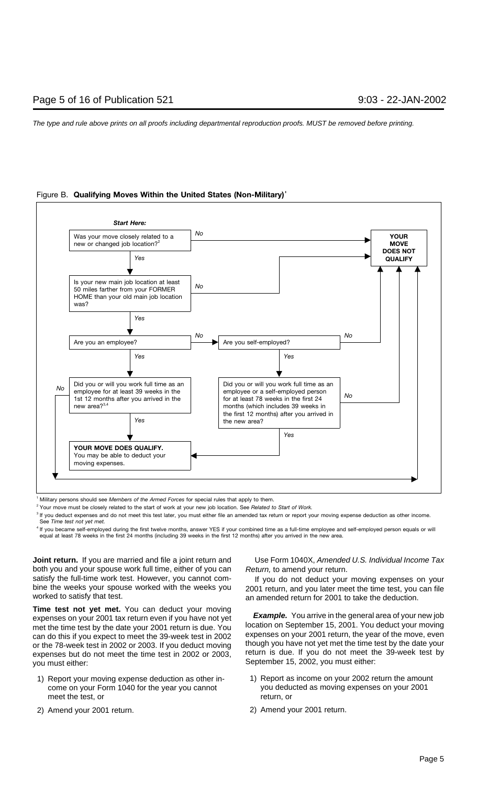Figure B. **Qualifying Moves Within the United States (Non-Military)<sup>1</sup>**



<sup>1</sup> Military persons should see *Members of the Armed Forces* for special rules that apply to them.

<sup>2</sup> Your move must be closely related to the start of work at your new job location. See *Related to Start of Work.*

<sup>3</sup> If you deduct expenses and do not meet this test later, you must either file an amended tax return or report your moving expense deduction as other income. ee *Time test not vet met.* 

<sup>4</sup> If you became self-employed during the first twelve months, answer YES if your combined time as a full-time employee and self-employed person equals or will equal at least 78 weeks in the first 24 months (including 39 weeks in the first 12 months) after you arrived in the new area.

both you and your spouse work full time, either of you can Return, to amend your return. satisfy the full-time work test. However, you cannot com-<br>bine the weeks your spouse worked with the weeks you 2001 return, and you later meet the time test, you can file

**Time test not yet met.** You can deduct your moving<br>**Example.** You arrive in the general area of your new job<br>met the time test by the date your 2001 return is due. You location on September 15, 2001. You deduct your movin met the time test by the date your 2001 return is due. You can do this if you expect to meet the 39-week test in 2002 expenses on your 2001 return, the year of the move, even or the 78-week test in 2002 or 2003. If you deduct moving though you have not yet met the time test by the date your<br>expenses but do not meet the time test in 2002 or 2003. Feturn is due. If you do not meet the 39-week tes expenses but do not meet the time test in 2002 or 2003, you must either: September 15, 2002, you must either:

- meet the test, or return, or
- 2) Amend your 2001 return. 2) Amend your 2001 return.

**Joint return.** If you are married and file a joint return and Use Form 1040X, Amended U.S. Individual Income Tax

bine the weeks your spouse worked with the weeks you 2001 return, and you later meet the time test, you can file worked to satisfy that test.

- 1) Report your moving expense deduction as other in- 1) Report as income on your 2002 return the amount come on your Form 1040 for the year you cannot you deducted as moving expenses on your 2001
	-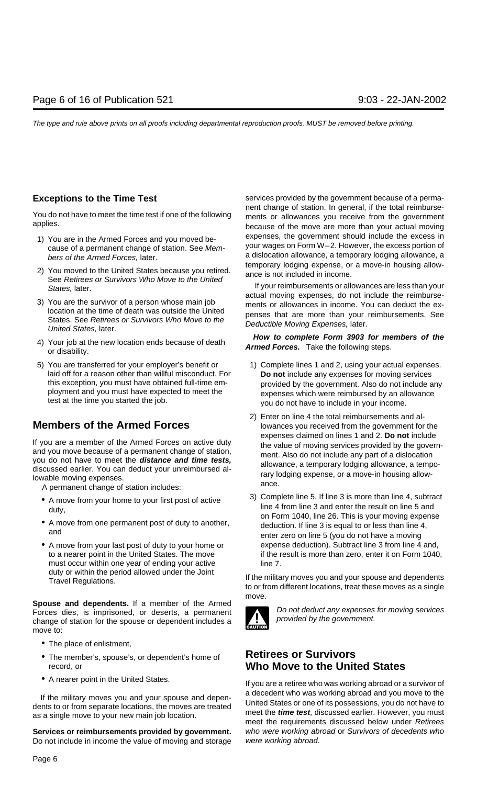- 
- 2) You moved to the United States because you retired. <br>See Retirees or Survivors Who Move to the United
- location at the time of death was outside the United penses that are more than your reimbursements. See States. See States. See Retirees or Survivors Who Move to the Deductible Moving Expenses, later. United States, later.
- 
- 5) You are transferred for your employer's benefit or 1) Complete lines 1 and 2, using your actual expenses. laid off for a reason other than willful misconduct. For **Do not** include any expenses for moving services

- 
- 
- must occur within one year of ending your active<br>duty or within the period allowed under the Joint

**Spouse and dependents.** If a member of the Armed Forces dies, is imprisoned, or deserts, a permanent<br>change of station for the spouse or dependent includes a **CAUTION** provided by the government. move to:

- The place of enlistment,
- The member's, spouse's, or dependent's home of **Retirees or Survivors** record, or **Who Move to the United States**
- 

**Services or reimbursements provided by government.** who were working abroad or Survivors of decedents who Do not include in income the value of moving and storage were working abroad.

**Exceptions to the Time Test** services provided by the government because of a permanent change of station. In general, if the total reimburse-You do not have to meet the time test if one of the following ments or allowances you receive from the government applies. 1) You are in the Armed Forces and you moved be-<br>cause of a permanent change of station. See Mem-<br>your wages on Form W–2. However, the excess portion of a dislocation allowance, a temporary lodging allowance, a bers of the Armed Forces, later.<br>
temporary lodging expense, or a move-in housing allow-

See Hellisce of Sarmons this line of the same of the same of the same of the same states, later.<br>If your reimbursements or allowances are less than your actual moving expenses, do not include the reimburse-3) You are the survivor of a person whose main job ments or allowances in income. You can deduct the ex-<br>location at the time of death was outside the United expresses that are mare then your rejunkursements. See

## **How to complete Form 3903 for members of the** 4) Your job at the new location ends because of death **Armed Forces.** Take the following steps. or disability.

- this exception, you must have obtained full-time em-<br>ployment and you must have expected to meet the expenses which were reimbursed by an allowance ployment and you must have expected to meet the expenses which were reimbursed by an allowance test at the time you started the job. you do not have to include in your income.
- 2) Enter on line 4 the total reimbursements and al-**Members of the Armed Forces** lowances you received from the government for the expenses claimed on lines 1 and 2. **Do not** include If you are a member of the Armed Forces on active duty<br>and you move because of a permanent change of station,<br>you do not have to meet the **distance and time tests,**<br>discussed earlier. You can deduct your unreimbursed al-<br>l
	- A move from your home to your first post of active duty,<br>
	 A move from one permanent post of duty to another,<br>
	and<br>
	 A move from one permanent post of duty to another,<br>
	and<br>
	a con Form 1040, line 26. This is your movi • A move from your last post of duty to your home or expense deduction). Subtract line 3 from line 4 and, to a nearer point in the United States. The move if the result is more than zero, enter it on Form 1040,

duty or within the period allowed under the Joint If the military moves you and your spouse and dependents<br>Travel Regulations. to or from different locations, treat these moves as a single move.



• A nearer point in the United States.<br>If you are a retiree who was working abroad or a survivor of If the military moves you and your spouse and dependent who was working abroad and you move to the<br>dents to or from separate locations, the moves are treated<br>as a single move to your new main job location.<br>meet the **rime f**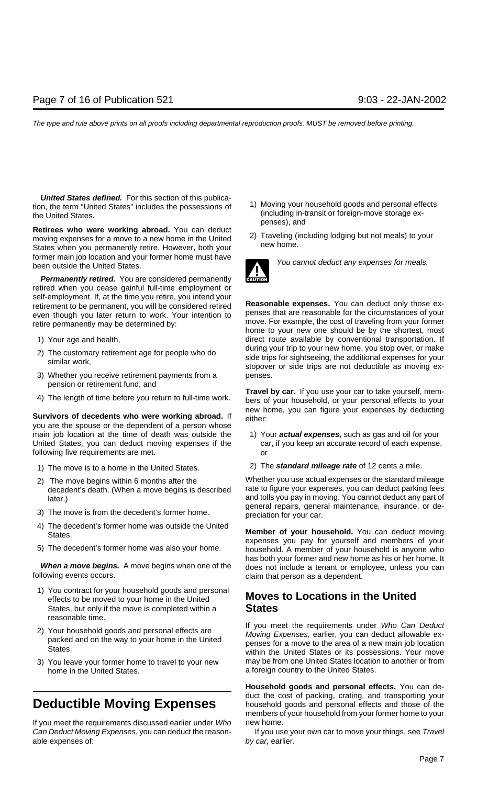**United States defined.** For this section of this publication, the term "United States" includes the possessions of this publication, the term "United States" includes the possessions of the United States.

**Retirees who were working abroad.** You can deduct<br>moving expenses for a move to a new home in the United<br>States when you permanently retire. However, both your new home. former main job location and your former home must have<br>been outside the United States.

**Permanently retired.** You are considered permanently retired when you cease gainful full-time employment or

- 
- 
- 3) Whether you receive retirement payments from a penses. pension or retirement fund, and
- 

you are the spouse or the dependent of a person whose main job location at the time of death was outside the 1) Your **actual expenses,** such as gas and oil for your United States, you can deduct moving expenses if the car, if you keep an accurate record of each expense, following five requirements are met. The matrix of the control of the control of the control of the control of

- 
- 
- 
- 
- 

- 1) You contract for your household goods and personal effects to be moved to your home in the United **Moves to Locations in the United** States, but only if the move is completed within a **States** reasonable time.
- 
- 

If you meet the requirements discussed earlier under Who new home. Can Deduct Moving Expenses, you can deduct the reason-<br>If you use your own car to move your things, see Travel able expenses of:  $by \, car$ , earlier.

- penses), and
- 



self-employment. If, at the time you retire, you intend your<br>retirement to be permanent, you will be considered retired<br>even though you later return to work. Your intention to<br>retire permanently may be determined by:<br>move. 1) Your age and health, the state of the state of the direct route available by conventional transportation. If 2) The customary retirement age for people who do<br>side trips for sightseeing, the additional expenses for your<br>similar work,<br>stopover or side trips are not deductible as moving ex-

Travel by car. If you use your car to take yourself, mem-<br>4) The length of time before you return to full-time work. bers of your household, or your personal effects to your new home, you can figure your expenses by deducting **Survivors of decedents who were working abroad.** If either:

- 
- 1) The move is to a home in the United States. 2) The **standard mileage rate** of 12 cents a mile.

2) The move begins within 6 months after the Whether you use actual expenses or the standard mileage decedent's death. (When a move begins is described rate to figure your expenses, you can deduct parking fees<br>and tolls you pay in moving. You cannot deduct any part of later.)<br>and tolls you pay in moving. You cannot deduct any part of<br>3) The move is from the decedent's former home.<br>preciation for your car.

4) The decedent's former home was outside the United<br>States. **Member of your household.** You can deduct moving<br>5) The decedent's former home was also your home. bousehold. A member of your household is anyone who household. A member of your household is anyone who has both your former and new home as his or her home. It **When a move begins.** A move begins when one of the does not include a tenant or employee, unless you can following events occurs. claim that person as a dependent.

2) Your household goods and personal effects are<br>packed and on the way to your home in the United<br>States.<br>States.<br>The United States or its possessions. Your move 3) You leave your former home to travel to your new may be from one United States location to another or from home in the United States. a foreign country to the United States.

**Household goods and personal effects.** You can deduct the cost of packing, crating, and transporting your **Deductible Moving Expenses** household goods and personal effects and those of the members of your household from your former home to your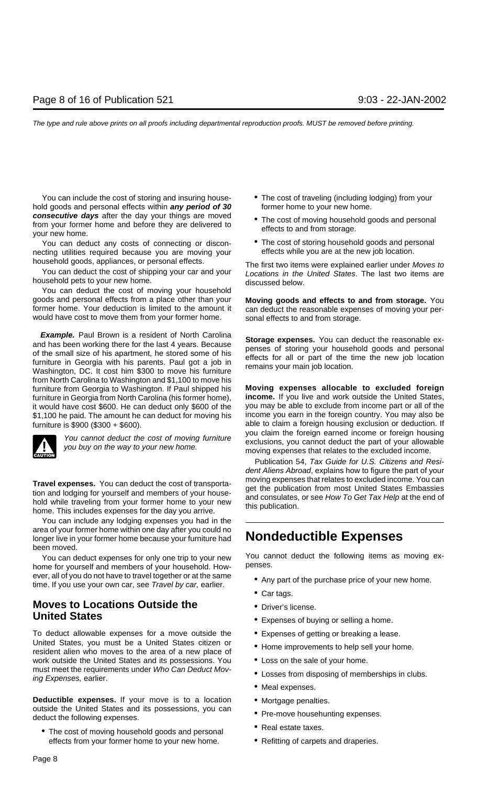You can include the cost of storing and insuring house- • The cost of traveling (including lodging) from your hold goods and personal effects within **any period of 30** former home to your new home. **consecutive days** after the day your things are moved<br>from your former home and before they are delivered to<br>vour new home.<br>vour new home.

necting utilities required because you are moving your

household pets to your new home. The same product of the discussed below.

You can deduct the cost of moving your household goods and personal effects from a place other than your **Moving goods and effects to and from storage.** You former home. Your deduction is limited to the amount it can deduct the reasonable expenses of moving your perwould have cost to move them from your former home. sonal effects to and from storage.

**Example.** Paul Brown is a resident of North Carolina<br>and has been working there for the last 4 years. Because<br>of the small size of his apartment, he stored some of his<br>furniture in Georgia with his parents. Paul got a job from North Carolina to Washington and \$1,100 to move his furniture from Georgia to Washington. If Paul shipped his **Moving expenses allocable to excluded foreign** furniture in Georgia from North Carolina (his former home), income. If you live and work outside the United States, it would have cost \$600. He can deduct only \$600 of the you may be able to exclude from income part or all of the \$1,100 he paid. The amount he can deduct for moving his income you earn in the foreign country. You may also be



You can include any lodging expenses you had in the area of your former home within one day after you could no longer live in your former home because your furniture had **Nondeductible Expenses** been moved.

home for yourself and members of your household. However, all of you do not have to travel together or at the same<br>time. If you use your own car, see Travel by car, earlier.<br> $\bullet$  Any part of the purchase price of your new home.

## **Moves to Locations Outside the • Driver's license.**<br>United States

To deduct allowable expenses for a move outside the • Expenses of getting or breaking a lease.<br>United States, you must be a United States citizen or a subman increase to help call usua has United States, you must be a United States citizen or • Home improvements to help sell your home. resident alien who moves to the area of a new place of work outside the United States and its possessions. You • Loss on the sale of your home. must meet the requirements under Who Can Deduct Mov-<br>ing Expenses, earlier.

**Deductible expenses.** If your move is to a location **•** Mortgage penalties. outside the United States and its possessions, you can • Pre-move househunting expenses. deduct the following expenses.

• The cost of moving household goods and personal • Real estate taxes. effects from your former home to your new home. • Refitting of carpets and draperies.

- 
- 
- You can deduct any costs of connecting or discon-<br>
effects while you are at the new job location.<br>
Effects while you are at the new job location.

household goods, appliances, or personal effects.<br>You can deduct the cost of shipping your car and your *Locations in the United States*. The last two items are Locations in the United States. The last two items are

furniture is \$900 (\$300 + \$600).<br>
you claim the foreign earned income or foreign housing You cannot deduct the cost of moving furniture<br>you buy on the way to your new home.<br>moving expenses that relates to the excluded income.

Publication 54, Tax Guide for U.S. Citizens and Resident Aliens Abroad, explains how to figure the part of your **Travel expenses.** You can deduct the cost of transporta-<br>tion and lodging for yourself and members of your house-<br>hold while traveling from your former home to your new<br>home. This includes expenses for the day you arrive.

You can deduct expenses for only one trip to your new You cannot deduct the following items as moving ex-<br>me for yourself and members of your household How- penses.

- 
- Car tags.
- 
- **•** Expenses of buying or selling a home.
- 
- 
- 
- 
- Meal expenses.
- 
- 
- 
-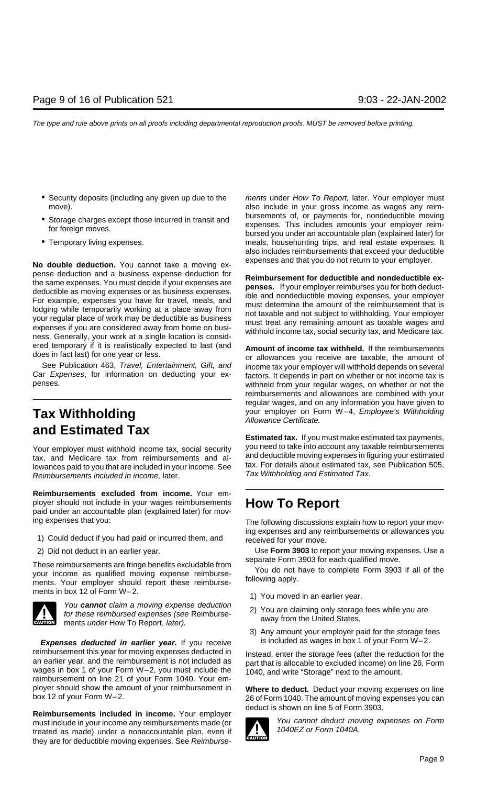- 
- 
- 

expenses and that you do not return to your employer. **No double deduction.** You cannot take a moving expense deduction and a business expense deduction for<br>the same expenses. You must decide if your expenses are<br>deductible as moving expenses or as business expenses.<br>For example, expenses you have for travel, meals, and<br>lodg

Car Expenses, for information on deducting your ex- factors. It depends in part on whether or not income tax is

# **and Estimated Tax**

tax, and Medicare tax from reimbursements and al-<br>lowances paid to you that are included in your income. See tax. For details about estimated tax, see Publication 505,<br>Reimbursements included in income, later Tax Withholdi Reimbursements included in income, later.

**Reimbursements excluded from income.** Your employer should not include in your wages reimbursements **How To Report** paid under an accountable plan (explained later) for moving expenses that you: The following discussions explain how to report your mov-

- 
- 

These reimbursements are fringe benefits excludable from<br>your income as qualified moving expense reimburse-<br>ments. Your employer should report these reimburse-<br>following apply. ments in box 12 of Form  $W - 2$ . 1) You moved in an earlier year.



You cannot claim a moving expense deduction<br>for these reimbursed expenses (see Reimburse-<br>ments under How To Report, later).<br>away from the United States.

**Expenses deducted in earlier year.** If you receive is included as wages in box 1 of your Form W-2. reimbursement this year for moving expenses deducted in Instead, enter the storage fees (after the reduction for the an earlier year, and the reimbursement is not included as wages in box 1 of your Form  $W-2$ , you must in reimbursement on line 21 of your Form 1040. Your employer should show the amount of your reimbursement in **Where to deduct.** Deduct your moving expenses on line box 12 of your Form W–2.

**Reimbursements included in income.** Your employer must include in your income any reimbursements made (or You cannot deduct moving expenses on Form treated as made) under a nonaccountable plan, even if they are for deductible moving expenses. See Reimburse-

• Security deposits (including any given up due to the ments under How To Report, later. Your employer must move). The move is also include in your gross income as wages any reim-• Storage charges except those incurred in transit and<br>for foreign moves.<br>for foreign moves.<br>bursed you under an accountable plan (explained later) for • Temporary living expenses. meals, househunting trips, and real estate expenses. It also includes reimbursements that exceed your deductible

ered temporary if it is realistically expected to last (and<br>does in fact last) for one year or less.<br>See Publication 463, *Travel, Entertainment, Gift, and* income tax your employer will withhold depends on several income tax your employer will withhold depends on several penses. withheld from your regular wages, on whether or not the reimbursements and allowances are combined with your regular wages, and on any information you have given to **Tax Withholding** your employer on Form W-4, Employee's Withholding Allowance Certificate.

**Estimated tax.** If you must make estimated tax payments, Your employer must withhold income tax, social security you need to take into account any taxable reimbursements<br>tax and Medicare tax, from reimbursements, and al. and deductible moving expenses in figuring your estimated

ing expenses and any reimbursements or allowances you<br>1) Could deduct if you had paid or incurred them, and received for your move.

2) Did not deduct in an earlier year. Use **Form 3903** to report your moving expenses. Use a

- 
- 
- 3) Any amount your employer paid for the storage fees

deduct is shown on line 5 of Form 3903.

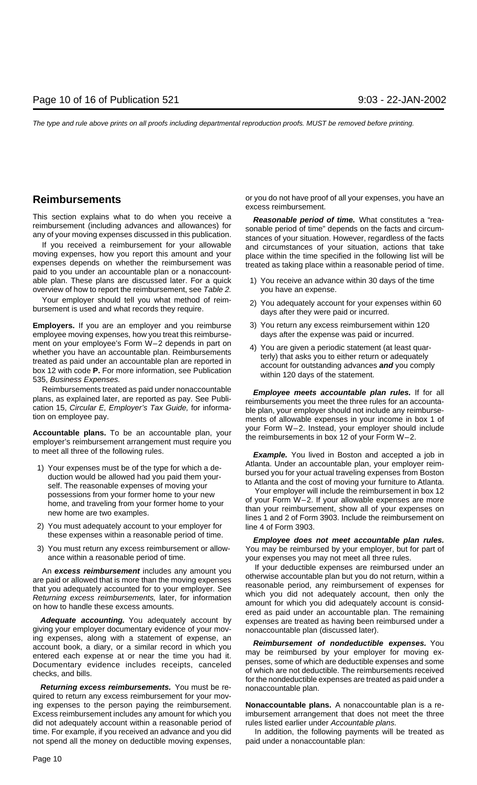able plan. These plans are discussed later. For a quick 1) You receive an advance within 30 days of the time overview of how to report the reimbursement, see Table 2. you have an expense.

Your employer should tell you what method of reim-<br>bursement is used and what records they require. days after they were paid or incurred.

**Employers.** If you are an employer and you reimburse 3) You return any excess reimbursement within 120 employee moving expenses, how you treat this reimburse- days after the expense was paid or incurred. ment on your employee's Form W-2 depends in part on<br>whether you have an accountable plan. Reimbursements<br>treated as paid under an accountable plan are reported in<br>box 12 with code **P.** For more information, see Publication

Reimbursements treated as paid under nonaccountable **Employee meets accountable plan rules.** If for all plans, as explained later, are reported as pay. See Publi-

Accountable plans. To be an accountable plan, your vour Form W–2. Instead, your employer should include employer's reimbursement arrangement must require you to meet all three of the following rules. **Example.** You lived in Boston and accepted a job in

- The responses must be of the type for which a de-<br>duction would be allowed had you paid them your-<br>self. The reasonable expenses of moving your<br>self. The reasonable expenses of moving your<br>possessions from your former home
- 2) You must adequately account to your employer for line 4 of Form 3903.
- 

giving your employer documentary evidence of your mov-<br>ing expenses, along with a statement of expense, an

**Returning excess reimbursements.** You must be re- nonaccountable plan. quired to return any excess reimbursement for your moving expenses to the person paying the reimbursement. **Nonaccountable plans.** A nonaccountable plan is a re-Excess reimbursement includes any amount for which you imbursement arrangement that does not meet the three did not adequately account within a reasonable period of rules listed earlier under Accountable plans. time. For example, if you received an advance and you did In addition, the following payments will be treated as not spend all the money on deductible moving expenses, paid under a nonaccountable plan:

**Reimbursements** and the state of you do not have proof of all your expenses, you have an excess reimbursement.

This section explains what to do when you receive a<br>reimbursement (including advances and allowances) for<br>any of your moving expenses discussed in this publication.<br>If you received a reimbursement for your allowable<br>moving

- 
- 
- 
- 

plans, as explained later, are reported as pay. See Publi-<br>cation 15, Circular E, Employer's Tax Guide, for informa-<br>tion on employee pay.<br>ments of allowable expenses in your income in box 1 of

these expenses within a reasonable period of time.<br>**Employee does not meet accountable plan rules.**<br>You must return any excess reimbursement or allow-<br>You may be reimbursed by your employer, but for part of You must return any excess reimbursement or allow-<br>ance within a reasonable period of time.<br>your expenses you may not meet all three rules. your expenses you may not meet all three rules.

An **excess reimbursement** includes any amount you<br>are paid or allowed that is more than the moving expenses<br>that you adequately accounted for to your employer. See<br>Returning excess reimbursements, later, for information<br>on Adequate accounting. You adequately account by expenses are treated as having been reimbursed under a

ing expenses, along with a statement of expense, an<br>account book, a diary, or a similar record in which you<br>entered each expense at or near the time you had it.<br>Documentary evidence includes receipts, canceled<br>checks, and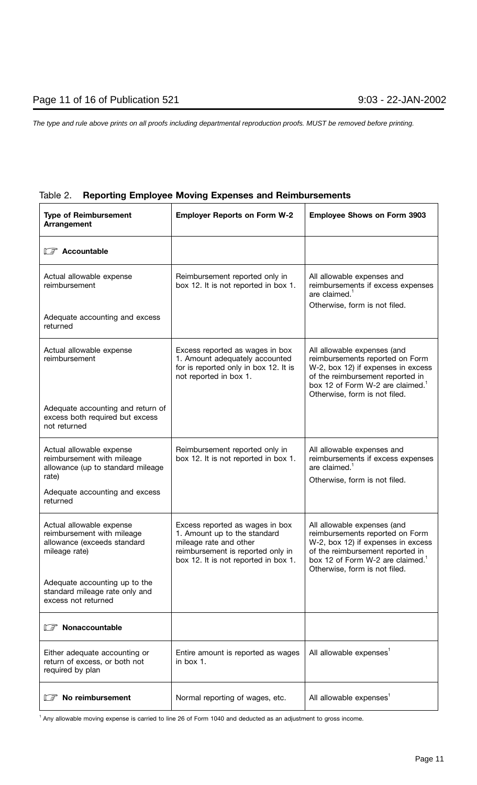## Table 2. **Reporting Employee Moving Expenses and Reimbursements**

| <b>Type of Reimbursement</b><br>Arrangement                                                            | <b>Employer Reports on Form W-2</b>                                                                                                                                    | <b>Employee Shows on Form 3903</b>                                                                                                                                                                                        |
|--------------------------------------------------------------------------------------------------------|------------------------------------------------------------------------------------------------------------------------------------------------------------------------|---------------------------------------------------------------------------------------------------------------------------------------------------------------------------------------------------------------------------|
| <b>TE</b> Accountable                                                                                  |                                                                                                                                                                        |                                                                                                                                                                                                                           |
| Actual allowable expense<br>reimbursement<br>Adequate accounting and excess<br>returned                | Reimbursement reported only in<br>box 12. It is not reported in box 1.                                                                                                 | All allowable expenses and<br>reimbursements if excess expenses<br>are claimed. $1$<br>Otherwise, form is not filed.                                                                                                      |
| Actual allowable expense<br>reimbursement                                                              | Excess reported as wages in box<br>1. Amount adequately accounted<br>for is reported only in box 12. It is<br>not reported in box 1.                                   | All allowable expenses (and<br>reimbursements reported on Form<br>W-2, box 12) if expenses in excess<br>of the reimbursement reported in                                                                                  |
| Adequate accounting and return of<br>excess both required but excess<br>not returned                   |                                                                                                                                                                        | box 12 of Form W-2 are claimed. <sup>1</sup><br>Otherwise, form is not filed.                                                                                                                                             |
| Actual allowable expense<br>reimbursement with mileage<br>allowance (up to standard mileage<br>rate)   | Reimbursement reported only in<br>box 12. It is not reported in box 1.                                                                                                 | All allowable expenses and<br>reimbursements if excess expenses<br>are claimed. <sup>1</sup><br>Otherwise, form is not filed.                                                                                             |
| Adequate accounting and excess<br>returned                                                             |                                                                                                                                                                        |                                                                                                                                                                                                                           |
| Actual allowable expense<br>reimbursement with mileage<br>allowance (exceeds standard<br>mileage rate) | Excess reported as wages in box<br>1. Amount up to the standard<br>mileage rate and other<br>reimbursement is reported only in<br>box 12. It is not reported in box 1. | All allowable expenses (and<br>reimbursements reported on Form<br>W-2, box 12) if expenses in excess<br>of the reimbursement reported in<br>box 12 of Form W-2 are claimed. <sup>1</sup><br>Otherwise, form is not filed. |
| Adequate accounting up to the<br>standard mileage rate only and<br>excess not returned                 |                                                                                                                                                                        |                                                                                                                                                                                                                           |
| <b>IS Nonaccountable</b>                                                                               |                                                                                                                                                                        |                                                                                                                                                                                                                           |
| Either adequate accounting or<br>return of excess, or both not<br>required by plan                     | Entire amount is reported as wages<br>in box $1$ .                                                                                                                     | All allowable expenses <sup>1</sup>                                                                                                                                                                                       |
| No reimbursement<br>"€∐                                                                                | Normal reporting of wages, etc.                                                                                                                                        | All allowable expenses <sup>1</sup>                                                                                                                                                                                       |

<sup>1</sup> Any allowable moving expense is carried to line 26 of Form 1040 and deducted as an adjustment to gross income.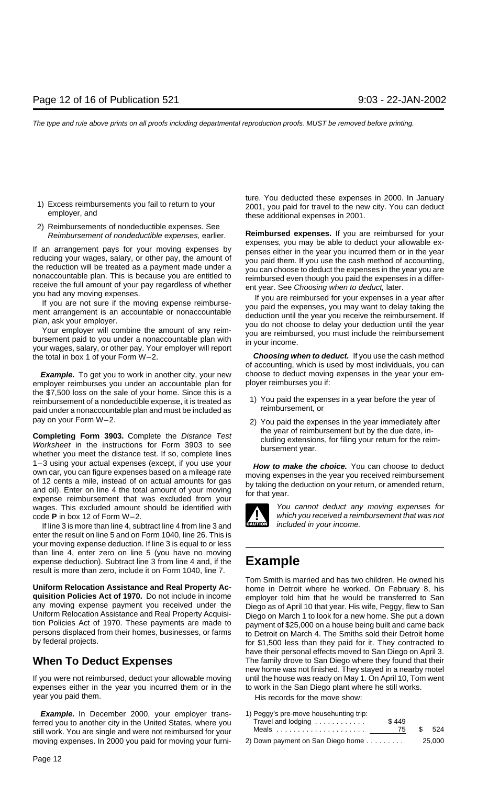- 
- 2) Reimbursements of nondeductible expenses. See

the total in box 1 of your Form W–2. **Choosing when to deduct.** If you use the cash method

employer reimburses you under an accountable plan for the \$7,500 loss on the sale of your home. Since this is a<br>reimbursement of a nondeductible expense, it is treated as <br>paid under a nonaccountable plan and must be included as reimbursement, or pay on your Form W–2. 2) You paid the expenses in the year immediately after

**Completing Form 3903.** Complete the *Distance Test* the year of reimbursement but by the due date, in-<br>
Worksheet in the instructions for Form 3903 to see<br>
whether you meet the distance test. If so, complete lines<br>
whethe 1–3 using your actual expenses (except, if you use your<br>own car, you can figure expenses based on a mileage rate<br>of 12 cents a mile, instead of on actual amounts for gas<br>and oil). Enter on line 4 the total amount of your m wages. This excluded amount should be identified with You cannot deduct any moving expenses for

If line 3 is more than line 4, subtract line 4 from line 3 and enter the result on line 5 and on Form 1040, line 26. This is your moving expense deduction. If line 3 is equal to or less than line 4, enter zero on line 5 (you have no moving expense deduction). Subtract line 3 from line 4 and, if the **Example** result is more than zero, include it on Form 1040, line 7.

Uniform Relocation Assistance and Real Property Achievement in Detroit where he worked. On February 8, his<br>
quisition Policies Act of 1970. Do not include in income<br>
any moving expense payment you received under the<br>
Unifo

expenses either in the year you incurred them or in the to work in the San Diego plant where he still works. year you paid them. The move show: His records for the move show:

**Example.** In December 2000, your employer transferred you to another city in the United States, where you still work. You are single and were not reimbursed for your moving expenses. In 2000 you paid for moving your furni-

ture. You deducted these expenses in 2000. In January 1) Excess reimbursements you fail to return to your 2001, you paid for travel to the new city. You can deduct employer, and these additional expenses in 2001.

Reimbursement of nondeductible expenses, earlier. **Reimbursed expenses.** If you are reimbursed for your If an arrangement pays for your moving expenses by<br>
reducing your wages, salary, or other pay, the amount of<br>
the reduction will be treated as a payment made under a<br>
nonaccountable plan. This is because you are entitled t

you had any moving expenses.<br>
If you are reimbursed for your expenses in a year after<br>
If you are reimbursed for your expenses in a year after<br>
ment arrangement is an accountable or nonaccountable<br>
plan, ask your employer.

of accounting, which is used by most individuals, you can **Example.** To get you to work in another city, your new choose to deduct moving expenses in the year your em-<br>nplover reimburses you under an accountable plan for ployer reimburses you if:

- 
- 



code **P** in box 12 of Form W–2.<br>If line 3 is more than line 4 subtract line 4 from line 3 and<br>If line 3 is more than line 4 subtract line 4 from line 3 and<br>If line 3 is more than line 4 subtract line 4 from line 3 and

Tom Smith is married and has two children. He owned his by federal projects. have their personal effects moved to San Diego on April 3. **When To Deduct Expenses** The family drove to San Diego where they found that their new home was not finished. They stayed in a nearby motel If you were not reimbursed, deduct your allowable moving until the house was ready on May 1. On April 10, Tom went

| 1) Peggy's pre-move househunting trip: |       |     |        |
|----------------------------------------|-------|-----|--------|
| Travel and lodging                     | \$449 |     |        |
|                                        | 75    | S S | 524    |
| 2) Down payment on San Diego home      |       |     | 25.000 |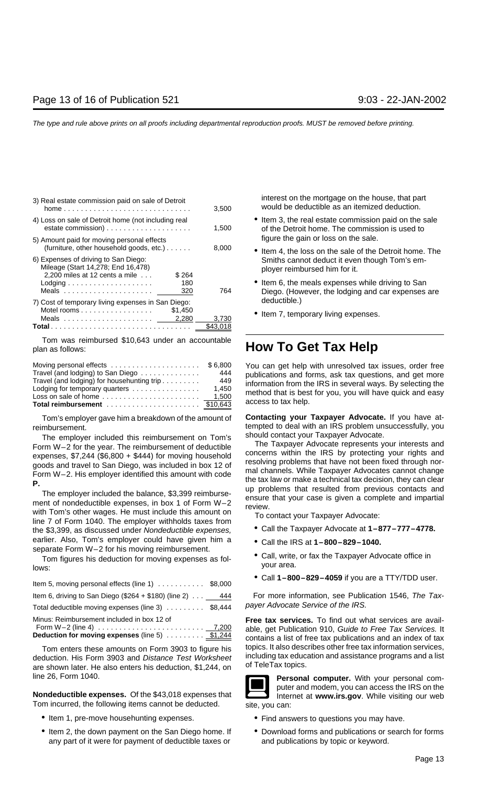| 3) Real estate commission paid on sale of Detroit                                                                                           | 3.500 |
|---------------------------------------------------------------------------------------------------------------------------------------------|-------|
| 4) Loss on sale of Detroit home (not including real                                                                                         | 1,500 |
| 5) Amount paid for moving personal effects<br>(furniture, other household goods, etc.)                                                      | 8.000 |
| 6) Expenses of driving to San Diego:<br>Mileage (Start 14,278; End 16,478)<br>2,200 miles at 12 cents a mile $\dots$<br>\$264<br>180<br>320 | 764   |
| 7) Cost of temporary living expenses in San Diego:<br>Motel rooms<br>\$1,450                                                                |       |
| 2.280<br>Total .                                                                                                                            | 3.730 |

Tom was reimbursed \$10,643 under an accountable plan as follows:<br>**Follows: How To Get Tax Help** 

| Moving personal effects \$6,800                                        |       |
|------------------------------------------------------------------------|-------|
| Travel (and lodging) to San Diego                                      | 444   |
| Travel (and lodging) for househunting trip                             | 449   |
| Lodging for temporary quarters                                         | 1.450 |
| Loss on sale of home $\ldots \ldots \ldots \ldots \ldots \ldots$ 1,500 |       |
|                                                                        |       |

The employer included this reimbursement on Tom's should contact your Taxpayer Advocate.<br>The Taxpayer Advocate represents your interests and review that the Taxpayer Advocate represents your interests and

earlier. Also, Tom's employer could have given him a • Call the IRS at **1-800-829-1040.**<br>separate Form W-2 for his moving reimbursement.

Tom figures his deduction for moving expenses as fol-<br>I vour area.<br>I your area.

| Item 5, moving personal effects (line 1) \$8,000                                                                                |  |
|---------------------------------------------------------------------------------------------------------------------------------|--|
| Item 6, driving to San Diego (\$264 + \$180) (line 2) 444                                                                       |  |
| Total deductible moving expenses (line 3) \$8,444                                                                               |  |
| Minus: Reimbursement included in box 12 of<br>Form W-2 (line 4) $\ldots \ldots \ldots \ldots \ldots \ldots \ldots \ldots$ 7,200 |  |
| <b>Deduction for moving expenses</b> (line 5) \$1 244                                                                           |  |

deduction. His Form 3903 and Distance Test Worksheet including tax education are shown later. He also enters his deduction \$1,244 on a list of TeleTax topics. are shown later. He also enters his deduction, \$1,244, on line 26, Form 1040. **Personal computer.** With your personal com-

**Nondeductible expenses.** Of the \$43,018 expenses that Internet at **www.irs.gov**. While visiting our web Tom incurred, the following items cannot be deducted. site, you can:

- Item 1, pre-move househunting expenses. • Find answers to questions you may have.
- any part of it were for payment of deductible taxes or and publications by topic or keyword.

interest on the mortgage on the house, that part would be deductible as an itemized deduction.

- $\bullet$  Item 3, the real estate commission paid on the sale of the Detroit home. The commission is used to figure the gain or loss on the sale.
- Item 4, the loss on the sale of the Detroit home. The Smiths cannot deduct it even though Tom's employer reimbursed him for it.
- Item 6, the meals expenses while driving to San Diego. (However, the lodging and car expenses are deductible.)
- $\bullet$  Item 7, temporary living expenses.

You can get help with unresolved tax issues, order free publications and forms, ask tax questions, and get more information from the IRS in several ways. By selecting the method that is best for you, you will have quick and easy access to tax help.

Tom's employer gave him a breakdown of the amount of **Contacting your Taxpayer Advocate.** If you have atreimbursement.<br>The employer included this reimbursement on Tom's should contact your Taxpayer Advocate.

Form W-2 for the year. The reimbursement of deductible<br>expenses, \$7,244 (\$6,800 + \$444) for moving household<br>goods and travel to San Diego, was included in box 12 of<br>goods and travel to San Diego, was included in box 12 o

- 
- 
- 
- Call **1-800-829-4059** if you are a TTY/TDD user.

For more information, see Publication 1546, The Taxpayer Advocate Service of the IRS.

Free tax services. To find out what services are available, get Publication 910, Guide to Free Tax Services. It **Deduction for moving expenses** (line 5) ......... \$1,244 contains a list of free tax publications and an index of tax Tom enters these amounts on Form 3903 to figure his topics. It also describes other free tax information services,<br>duction, His Form 3903 and *Distance Test Worksheet* including tax education and assistance programs and a



puter and modem, you can access the IRS on the

- 
- Item 2, the down payment on the San Diego home. If Download forms and publications or search for forms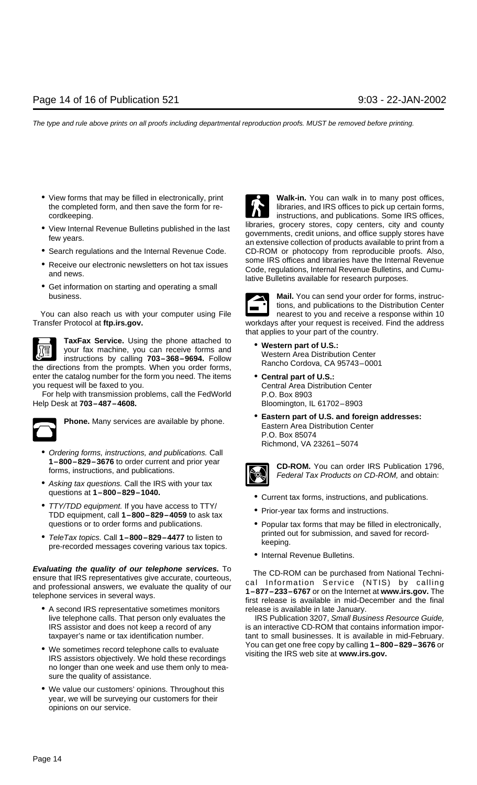- 
- 
- 
- 
- Get information on starting and operating a small

You can also reach us with your computer using File  $\Box$  nearest to you and receive a response within 10 Transfer Protocol at **ftp.irs.gov.** workdays after your request is received. Find the address



TaxFax Service. Using the phone attached to<br>
your fax machine, you can receive forms and<br>
instructions by calling 703-368-9694. Follow<br>
the directions from the prompts. When you order forms,<br>
the directions from the prompt

enter the catalog number for the form you need. The items **• Central part of U.S.:**<br>you request will be faxed to you. **Central Area Distribut** For help with transmission problems, call the FedWorld P.O. Box 8903



- Ordering forms, instructions, and publications. Call **1–800–829–3676** to order current and prior year **CD-ROM.** You can order IRS Publication 1796, forms, instructions, and publications. **Federal Tax Products on CD-ROM**, and obtain:
- Asking tax questions. Call the IRS with your tax
- TTY/TDD equipment. If you have access to TTY/ Prior-year tax forms and instructions. TDD equipment, call **1–800–829–4059** to ask tax
- *TeleTax topics.* Call 1–800–829–4477 to listen to printed out for submission, and saved for record-<br>pre-recorded messages covering various tax topics. Neeping.

**Evaluating the quality of our telephone services.** To<br>ensure that IRS representatives give accurate, courteous,<br>and professional answers, we evaluate the quality of our<br>telephone services in several ways.<br>telephone servic

- A second IRS representative sometimes monitors release is available in late January.
- no longer than one week and use them only to measure the quality of assistance.
- We value our customers' opinions. Throughout this year, we will be surveying our customers for their opinions on our service.



• View forms that may be filled in electronically, print **Walk-in.** You can walk in to many post offices, the completed form, and then save the form for re-<br>libraries, and IRS offices to pick up certain forms, cordkeeping. **instructions** instructions, and publications. Some IRS offices, • View Internal Revenue Bulletins published in the last<br>few years. The version of the supply stores have<br>an extensive collection of products available to print from a • Search regulations and the Internal Revenue Code. CD-ROM or photocopy from reproducible proofs. Also, • Receive our electronic newsletters on hot tax issues<br>Code, regulations, Internal Revenue Bulletins, and Cumu-<br>lative Bulletins available for research purposes.



**business. Mail.** You can send your order for forms, instructions, and publications to the Distribution Center that applies to your part of the country.

- 
- Central Area Distribution Center Help Desk at **703–487–4608.** Bloomington, IL 61702–8903
	- **Eastern part of U.S. and foreign addresses: Phone.** Many services are available by phone. Eastern Area Distribution Center P.O. Box 85074 Richmond, VA 23261–5074



- questions at **1–800–829–1040.** Current tax forms, instructions, and publications.
	-
- questions or to order forms and publications. • Popular tax forms that may be filled in electronically,
	- Internal Revenue Bulletins.

live telephone calls. That person only evaluates the IRS Publication 3207, Small Business Resource Guide, IRS assistor and does not keep a record of any is an interactive CD-ROM that contains information importax por-<br>taxpayer's name or tax identification number.<br>tant to small businesses. It is available in mid-February. tant to small businesses. It is available in mid-February. You can get one free copy by calling **1–800–829–3676** or • We sometimes record telephone calls to evaluate visiting the IRS web site at **www.irs.gov.** IRS assistors objectively. We hold these recordings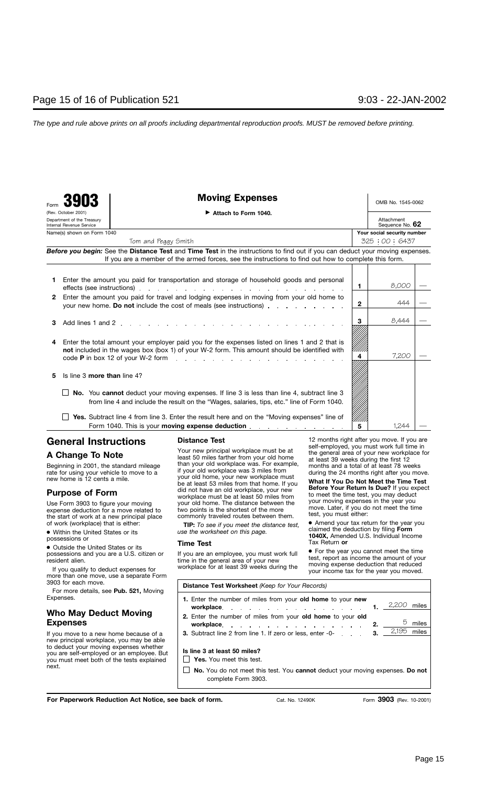| <b>Moving Expenses</b><br>Form                                                                        |                             |                                                                                                                                                                                                                                                                                                                                                                | OMB No. 1545-0062             |                                            |  |
|-------------------------------------------------------------------------------------------------------|-----------------------------|----------------------------------------------------------------------------------------------------------------------------------------------------------------------------------------------------------------------------------------------------------------------------------------------------------------------------------------------------------------|-------------------------------|--------------------------------------------|--|
| Attach to Form 1040.<br>(Rev. October 2001)<br>Department of the Treasury<br>Internal Revenue Service |                             |                                                                                                                                                                                                                                                                                                                                                                | Attachment<br>Sequence No. 62 |                                            |  |
|                                                                                                       | Name(s) shown on Form 1040  | Tom and Peggy Smith                                                                                                                                                                                                                                                                                                                                            |                               | Your social security number<br>325 00 6437 |  |
|                                                                                                       |                             | Before you begin: See the Distance Test and Time Test in the instructions to find out if you can deduct your moving expenses.<br>If you are a member of the armed forces, see the instructions to find out how to complete this form.                                                                                                                          |                               |                                            |  |
|                                                                                                       |                             | Enter the amount you paid for transportation and storage of household goods and personal                                                                                                                                                                                                                                                                       | ъ                             | 8,000                                      |  |
| $\mathbf{2}$                                                                                          |                             | Enter the amount you paid for travel and lodging expenses in moving from your old home to<br>your new home. Do not include the cost of meals (see instructions) entitled as a control of the cost of meals                                                                                                                                                     | 2                             | 444                                        |  |
| 3                                                                                                     |                             |                                                                                                                                                                                                                                                                                                                                                                | 3                             | 8,444                                      |  |
| 4                                                                                                     |                             | Enter the total amount your employer paid you for the expenses listed on lines 1 and 2 that is<br>not included in the wages box (box 1) of your W-2 form. This amount should be identified with<br>code <b>P</b> in box 12 of your W-2 form<br>the contract of the contract of the contract of the contract of the contract of the contract of the contract of |                               | 7,200                                      |  |
| 5.                                                                                                    | Is line 3 more than line 4? |                                                                                                                                                                                                                                                                                                                                                                |                               |                                            |  |
|                                                                                                       |                             | No. You cannot deduct your moving expenses. If line 3 is less than line 4, subtract line 3<br>from line 4 and include the result on the "Wages, salaries, tips, etc." line of Form 1040.                                                                                                                                                                       |                               |                                            |  |
|                                                                                                       |                             | Yes. Subtract line 4 from line 3. Enter the result here and on the "Moving expenses" line of<br>Form 1040. This is your moving expense deduction research and research and research and research and research                                                                                                                                                  | 5                             | 1.244                                      |  |

## **General Instructions**

## **A Change To Note**

Beginning in 2001, the standard mileage rate for using your vehicle to move to a new home is 12 cents a mile.

## **Purpose of Form**

Use Form 3903 to figure your moving expense deduction for a move related to the start of work at a new principal place of work (workplace) that is either:

● Within the United States or its possessions or

● Outside the United States or its possessions and you are a U.S. citizen or resident alien.

If you qualify to deduct expenses for more than one move, use a separate Form 3903 for each move.

For more details, see **Pub. 521,** Moving Expenses.

### **Who May Deduct Moving Expenses**

If you move to a new home because of a new principal workplace, you may be able to deduct your moving expenses whether you are self-employed or an employee. But you must meet both of the tests explained next.

### **Distance Test**

Your new principal workplace must be at least 50 miles farther from your old home than your old workplace was. For example, if your old workplace was 3 miles from your old home, your new workplace must be at least 53 miles from that home. If you did not have an old workplace, your new workplace must be at least 50 miles from your old home. The distance between the two points is the shortest of the more commonly traveled routes between them.

**TIP:** *To see if you meet the distance test, use the worksheet on this page.*

### **Time Test**

If you are an employee, you must work full time in the general area of your new workplace for at least 39 weeks during the

12 months right after you move. If you are self-employed, you must work full time in the general area of your new workplace for at least 39 weeks during the first 12 months and a total of at least 78 weeks during the 24 months right after you move.

1,244 —

**What If You Do Not Meet the Time Test Before Your Return Is Due?** If you expect to meet the time test, you may deduct your moving expenses in the year you move. Later, if you do not meet the time test, you must either:

● Amend your tax return for the year you claimed the deduction by filing **Form 1040X,** Amended U.S. Individual Income Tax Return **or**

● For the year you cannot meet the time test, report as income the amount of your moving expense deduction that reduced your income tax for the year you moved.

| <b>Distance Test Worksheet (Keep for Your Records)</b>                                                                                                                                       |    |                |
|----------------------------------------------------------------------------------------------------------------------------------------------------------------------------------------------|----|----------------|
| <b>1.</b> Enter the number of miles from your <b>old home</b> to your <b>new</b><br>workplace.                                                                                               |    | 2,200<br>miles |
| 2. Enter the number of miles from your old home to your old<br>workplace,<br>the contract of the contract of the contract of the contract of the contract of the contract of the contract of | 2. | 5<br>miles     |
| 3. Subtract line 2 from line 1. If zero or less, enter -0-                                                                                                                                   | 3. | 2,195<br>miles |
| Is line 3 at least 50 miles?                                                                                                                                                                 |    |                |
| Yes. You meet this test.                                                                                                                                                                     |    |                |
| <b>No.</b> You do not meet this test. You <b>cannot</b> deduct your moving expenses. Do not<br>complete Form 3903.                                                                           |    |                |
|                                                                                                                                                                                              |    |                |

**For Paperwork Reduction Act Notice, see back of form.** Cat. No. 12490K Form 3903 (Rev. 10-2001)